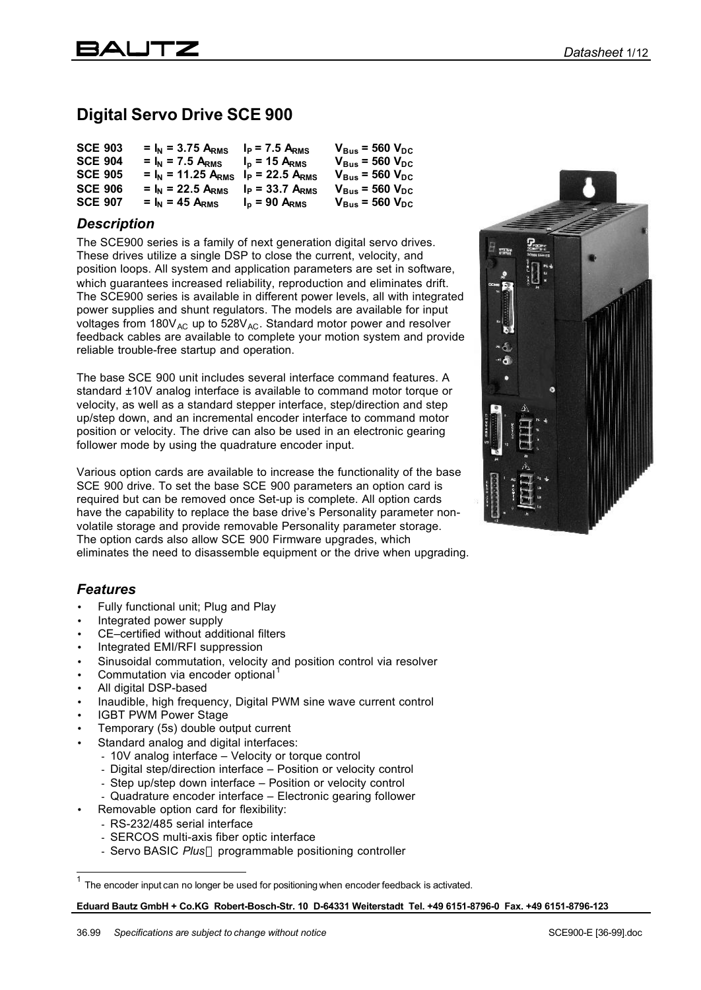# **Digital Servo Drive SCE 900**

| <b>SCE 903</b> | $= I_{N} = 3.75 A_{RMS}$  | $I_P$ = 7.5 A <sub>RMS</sub> | $V_{Bus}$ = 560 $V_{DC}$ |
|----------------|---------------------------|------------------------------|--------------------------|
| <b>SCE 904</b> | $= I_{N} = 7.5 A_{RMS}$   | $Ip$ = 15 A <sub>RMS</sub>   | $V_{bus}$ = 560 $V_{DC}$ |
| <b>SCE 905</b> | $= I_{N} = 11.25 A_{RMS}$ | $I_P = 22.5 A_{RMS}$         | $V_{Bus}$ = 560 $V_{DC}$ |
| <b>SCE 906</b> | $= I_{N} = 22.5 A_{RMS}$  | $I_P = 33.7 A_{RMS}$         | $V_{Bus}$ = 560 $V_{DC}$ |
| <b>SCE 907</b> | $= I_{N} = 45 A_{RMS}$    | $Ip$ = 90 A <sub>RMS</sub>   | $V_{Bus}$ = 560 $V_{DC}$ |

#### *Description*

The SCE900 series is a family of next generation digital servo drives. These drives utilize a single DSP to close the current, velocity, and position loops. All system and application parameters are set in software, which guarantees increased reliability, reproduction and eliminates drift. The SCE900 series is available in different power levels, all with integrated power supplies and shunt regulators. The models are available for input voltages from  $180V_{AC}$  up to  $528V_{AC}$ . Standard motor power and resolver feedback cables are available to complete your motion system and provide reliable trouble-free startup and operation.

The base SCE 900 unit includes several interface command features. A standard ±10V analog interface is available to command motor torque or velocity, as well as a standard stepper interface, step/direction and step up/step down, and an incremental encoder interface to command motor position or velocity. The drive can also be used in an electronic gearing follower mode by using the quadrature encoder input.

Various option cards are available to increase the functionality of the base SCE 900 drive. To set the base SCE 900 parameters an option card is required but can be removed once Set-up is complete. All option cards have the capability to replace the base drive's Personality parameter nonvolatile storage and provide removable Personality parameter storage. The option cards also allow SCE 900 Firmware upgrades, which eliminates the need to disassemble equipment or the drive when upgrading.

#### *Features*

- Fully functional unit; Plug and Play
- Integrated power supply
- CE–certified without additional filters
- Integrated EMI/RFI suppression
- Sinusoidal commutation, velocity and position control via resolver
- Commutation via encoder optional<sup>1</sup>
- All digital DSP-based
- Inaudible, high frequency, Digital PWM sine wave current control
- IGBT PWM Power Stage
- Temporary (5s) double output current
- Standard analog and digital interfaces:
	- 10V analog interface Velocity or torque control
	- Digital step/direction interface Position or velocity control
	- Step up/step down interface Position or velocity control
	- Quadrature encoder interface Electronic gearing follower
- Removable option card for flexibility:
	- RS-232/485 serial interface
	- SERCOS multi-axis fiber optic interface
	- Servo BASIC *Plus<sup>®</sup>* programmable positioning controller



<sup>1</sup> The encoder input can no longer be used for positioning when encoder feedback is activated.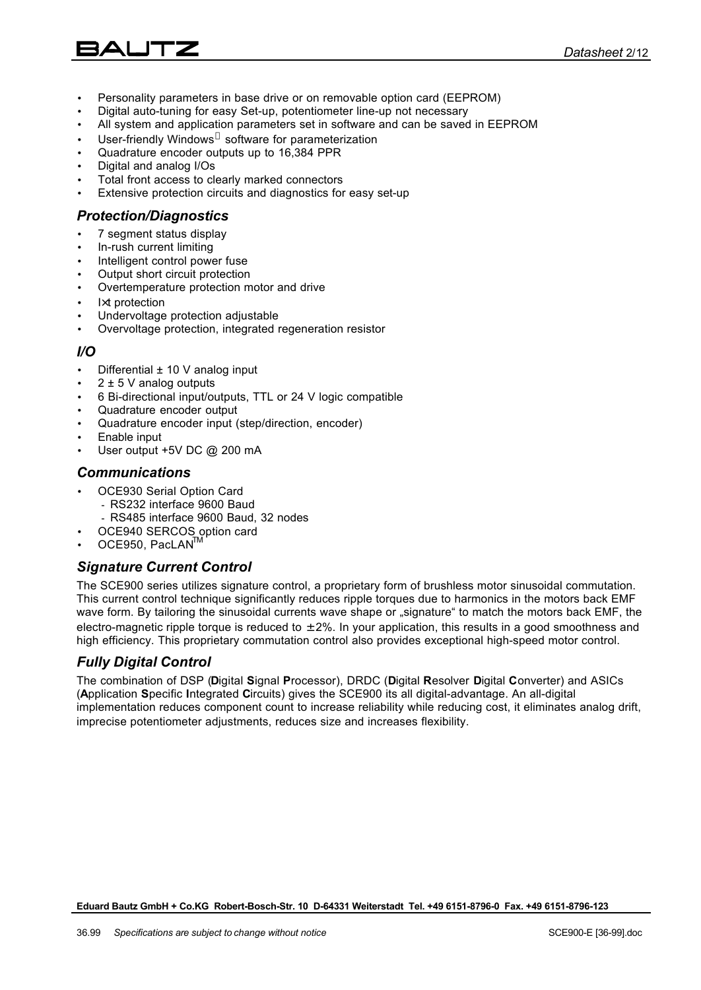- Personality parameters in base drive or on removable option card (EEPROM)
- Digital auto-tuning for easy Set-up, potentiometer line-up not necessary
- All system and application parameters set in software and can be saved in EEPROM
- User-friendly Windows® software for parameterization
- Quadrature encoder outputs up to 16,384 PPR
- Digital and analog I/Os
- Total front access to clearly marked connectors
- Extensive protection circuits and diagnostics for easy set-up

#### *Protection/Diagnostics*

- 7 segment status display
- In-rush current limiting
- Intelligent control power fuse
- Output short circuit protection
- Overtemperature protection motor and drive
- $lxt$  protection
- Undervoltage protection adjustable
- Overvoltage protection, integrated regeneration resistor

#### *I/O*

- Differential ± 10 V analog input
- $2 \pm 5$  V analog outputs
- 6 Bi-directional input/outputs, TTL or 24 V logic compatible
- Quadrature encoder output
- Quadrature encoder input (step/direction, encoder)
- Enable input
- User output +5V DC @ 200 mA

#### *Communications*

- OCE930 Serial Option Card - RS232 interface 9600 Baud
	- RS485 interface 9600 Baud, 32 nodes
- OCE940 SERCOS option card
- OCE950, PacLAN<sup>IT</sup>

#### *Signature Current Control*

The SCE900 series utilizes signature control, a proprietary form of brushless motor sinusoidal commutation. This current control technique significantly reduces ripple torques due to harmonics in the motors back EMF wave form. By tailoring the sinusoidal currents wave shape or "signature" to match the motors back EMF, the electro-magnetic ripple torque is reduced to  $\pm 2\%$ . In your application, this results in a good smoothness and high efficiency. This proprietary commutation control also provides exceptional high-speed motor control.

#### *Fully Digital Control*

The combination of DSP (**D**igital **S**ignal **P**rocessor), DRDC (**D**igital **R**esolver **D**igital **C**onverter) and ASICs (**A**pplication **S**pecific **I**ntegrated **C**ircuits) gives the SCE900 its all digital-advantage. An all-digital implementation reduces component count to increase reliability while reducing cost, it eliminates analog drift, imprecise potentiometer adjustments, reduces size and increases flexibility.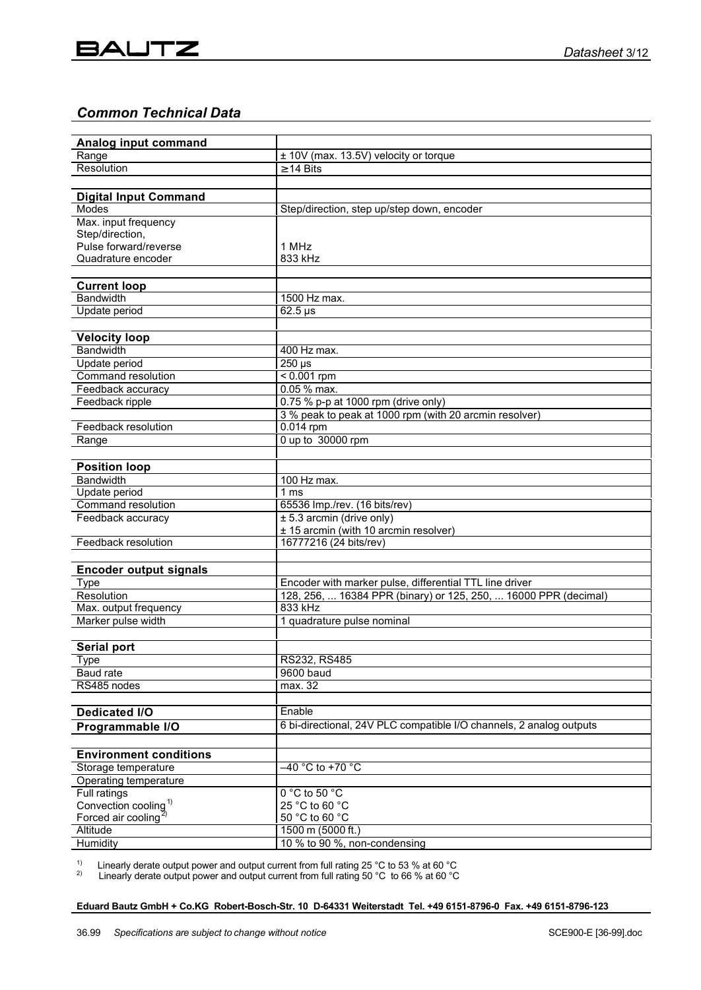## *Common Technical Data*

| Range<br>± 10V (max. 13.5V) velocity or torque<br>Resolution<br>$\geq$ 14 Bits<br><b>Digital Input Command</b><br>Modes<br>Step/direction, step up/step down, encoder<br>Max. input frequency<br>Step/direction,<br>Pulse forward/reverse<br>1 MHz<br>Quadrature encoder<br>833 kHz<br><b>Current loop</b><br><b>Bandwidth</b><br>1500 Hz max.<br>Update period<br>$62.5 \,\mathrm{\mu s}$<br><b>Velocity loop</b><br><b>Bandwidth</b><br>400 Hz max.<br>250 µs<br>Update period<br><b>Command resolution</b><br>$< 0.001$ rpm<br>0.05 % max.<br>Feedback accuracy<br>0.75 % p-p at 1000 rpm (drive only)<br>Feedback ripple<br>3 % peak to peak at 1000 rpm (with 20 arcmin resolver)<br>Feedback resolution<br>0.014 rpm<br>0 up to 30000 rpm<br>Range<br><b>Position loop</b><br>Bandwidth<br>100 Hz max.<br>Update period<br>1 ms<br>Command resolution<br>65536 Imp./rev. (16 bits/rev)<br>$± 5.3$ arcmin (drive only)<br>Feedback accuracy<br>± 15 arcmin (with 10 arcmin resolver)<br>Feedback resolution<br>16777216 (24 bits/rev)<br><b>Encoder output signals</b><br>Encoder with marker pulse, differential TTL line driver<br>Type<br>128, 256,  16384 PPR (binary) or 125, 250,  16000 PPR (decimal)<br>Resolution<br>833 kHz<br>Max. output frequency<br>Marker pulse width<br>1 quadrature pulse nominal<br><b>Serial port</b><br>RS232, RS485<br><b>Type</b><br>Baud rate<br>9600 baud<br>RS485 nodes<br>max. 32<br>Enable<br><b>Dedicated I/O</b><br>6 bi-directional, 24V PLC compatible I/O channels, 2 analog outputs<br>Programmable I/O<br><b>Environment conditions</b><br>Storage temperature<br>–40 °C to +70 °C<br>Operating temperature<br>$0 °C$ to 50 $°C$<br>Full ratings<br>Convection cooling <sup>1)</sup><br>25 °C to 60 °C<br>Forced air cooling<br>50 °C to 60 °C<br>1500 m (5000 ft.)<br>Altitude | Analog input command |                              |  |
|----------------------------------------------------------------------------------------------------------------------------------------------------------------------------------------------------------------------------------------------------------------------------------------------------------------------------------------------------------------------------------------------------------------------------------------------------------------------------------------------------------------------------------------------------------------------------------------------------------------------------------------------------------------------------------------------------------------------------------------------------------------------------------------------------------------------------------------------------------------------------------------------------------------------------------------------------------------------------------------------------------------------------------------------------------------------------------------------------------------------------------------------------------------------------------------------------------------------------------------------------------------------------------------------------------------------------------------------------------------------------------------------------------------------------------------------------------------------------------------------------------------------------------------------------------------------------------------------------------------------------------------------------------------------------------------------------------------------------------------------------------------------------------------------------------------------------------------|----------------------|------------------------------|--|
|                                                                                                                                                                                                                                                                                                                                                                                                                                                                                                                                                                                                                                                                                                                                                                                                                                                                                                                                                                                                                                                                                                                                                                                                                                                                                                                                                                                                                                                                                                                                                                                                                                                                                                                                                                                                                                        |                      |                              |  |
|                                                                                                                                                                                                                                                                                                                                                                                                                                                                                                                                                                                                                                                                                                                                                                                                                                                                                                                                                                                                                                                                                                                                                                                                                                                                                                                                                                                                                                                                                                                                                                                                                                                                                                                                                                                                                                        |                      |                              |  |
|                                                                                                                                                                                                                                                                                                                                                                                                                                                                                                                                                                                                                                                                                                                                                                                                                                                                                                                                                                                                                                                                                                                                                                                                                                                                                                                                                                                                                                                                                                                                                                                                                                                                                                                                                                                                                                        |                      |                              |  |
|                                                                                                                                                                                                                                                                                                                                                                                                                                                                                                                                                                                                                                                                                                                                                                                                                                                                                                                                                                                                                                                                                                                                                                                                                                                                                                                                                                                                                                                                                                                                                                                                                                                                                                                                                                                                                                        |                      |                              |  |
|                                                                                                                                                                                                                                                                                                                                                                                                                                                                                                                                                                                                                                                                                                                                                                                                                                                                                                                                                                                                                                                                                                                                                                                                                                                                                                                                                                                                                                                                                                                                                                                                                                                                                                                                                                                                                                        |                      |                              |  |
|                                                                                                                                                                                                                                                                                                                                                                                                                                                                                                                                                                                                                                                                                                                                                                                                                                                                                                                                                                                                                                                                                                                                                                                                                                                                                                                                                                                                                                                                                                                                                                                                                                                                                                                                                                                                                                        |                      |                              |  |
|                                                                                                                                                                                                                                                                                                                                                                                                                                                                                                                                                                                                                                                                                                                                                                                                                                                                                                                                                                                                                                                                                                                                                                                                                                                                                                                                                                                                                                                                                                                                                                                                                                                                                                                                                                                                                                        |                      |                              |  |
|                                                                                                                                                                                                                                                                                                                                                                                                                                                                                                                                                                                                                                                                                                                                                                                                                                                                                                                                                                                                                                                                                                                                                                                                                                                                                                                                                                                                                                                                                                                                                                                                                                                                                                                                                                                                                                        |                      |                              |  |
|                                                                                                                                                                                                                                                                                                                                                                                                                                                                                                                                                                                                                                                                                                                                                                                                                                                                                                                                                                                                                                                                                                                                                                                                                                                                                                                                                                                                                                                                                                                                                                                                                                                                                                                                                                                                                                        |                      |                              |  |
|                                                                                                                                                                                                                                                                                                                                                                                                                                                                                                                                                                                                                                                                                                                                                                                                                                                                                                                                                                                                                                                                                                                                                                                                                                                                                                                                                                                                                                                                                                                                                                                                                                                                                                                                                                                                                                        |                      |                              |  |
|                                                                                                                                                                                                                                                                                                                                                                                                                                                                                                                                                                                                                                                                                                                                                                                                                                                                                                                                                                                                                                                                                                                                                                                                                                                                                                                                                                                                                                                                                                                                                                                                                                                                                                                                                                                                                                        |                      |                              |  |
|                                                                                                                                                                                                                                                                                                                                                                                                                                                                                                                                                                                                                                                                                                                                                                                                                                                                                                                                                                                                                                                                                                                                                                                                                                                                                                                                                                                                                                                                                                                                                                                                                                                                                                                                                                                                                                        |                      |                              |  |
|                                                                                                                                                                                                                                                                                                                                                                                                                                                                                                                                                                                                                                                                                                                                                                                                                                                                                                                                                                                                                                                                                                                                                                                                                                                                                                                                                                                                                                                                                                                                                                                                                                                                                                                                                                                                                                        |                      |                              |  |
|                                                                                                                                                                                                                                                                                                                                                                                                                                                                                                                                                                                                                                                                                                                                                                                                                                                                                                                                                                                                                                                                                                                                                                                                                                                                                                                                                                                                                                                                                                                                                                                                                                                                                                                                                                                                                                        |                      |                              |  |
|                                                                                                                                                                                                                                                                                                                                                                                                                                                                                                                                                                                                                                                                                                                                                                                                                                                                                                                                                                                                                                                                                                                                                                                                                                                                                                                                                                                                                                                                                                                                                                                                                                                                                                                                                                                                                                        |                      |                              |  |
|                                                                                                                                                                                                                                                                                                                                                                                                                                                                                                                                                                                                                                                                                                                                                                                                                                                                                                                                                                                                                                                                                                                                                                                                                                                                                                                                                                                                                                                                                                                                                                                                                                                                                                                                                                                                                                        |                      |                              |  |
|                                                                                                                                                                                                                                                                                                                                                                                                                                                                                                                                                                                                                                                                                                                                                                                                                                                                                                                                                                                                                                                                                                                                                                                                                                                                                                                                                                                                                                                                                                                                                                                                                                                                                                                                                                                                                                        |                      |                              |  |
|                                                                                                                                                                                                                                                                                                                                                                                                                                                                                                                                                                                                                                                                                                                                                                                                                                                                                                                                                                                                                                                                                                                                                                                                                                                                                                                                                                                                                                                                                                                                                                                                                                                                                                                                                                                                                                        |                      |                              |  |
|                                                                                                                                                                                                                                                                                                                                                                                                                                                                                                                                                                                                                                                                                                                                                                                                                                                                                                                                                                                                                                                                                                                                                                                                                                                                                                                                                                                                                                                                                                                                                                                                                                                                                                                                                                                                                                        |                      |                              |  |
|                                                                                                                                                                                                                                                                                                                                                                                                                                                                                                                                                                                                                                                                                                                                                                                                                                                                                                                                                                                                                                                                                                                                                                                                                                                                                                                                                                                                                                                                                                                                                                                                                                                                                                                                                                                                                                        |                      |                              |  |
|                                                                                                                                                                                                                                                                                                                                                                                                                                                                                                                                                                                                                                                                                                                                                                                                                                                                                                                                                                                                                                                                                                                                                                                                                                                                                                                                                                                                                                                                                                                                                                                                                                                                                                                                                                                                                                        |                      |                              |  |
|                                                                                                                                                                                                                                                                                                                                                                                                                                                                                                                                                                                                                                                                                                                                                                                                                                                                                                                                                                                                                                                                                                                                                                                                                                                                                                                                                                                                                                                                                                                                                                                                                                                                                                                                                                                                                                        |                      |                              |  |
|                                                                                                                                                                                                                                                                                                                                                                                                                                                                                                                                                                                                                                                                                                                                                                                                                                                                                                                                                                                                                                                                                                                                                                                                                                                                                                                                                                                                                                                                                                                                                                                                                                                                                                                                                                                                                                        |                      |                              |  |
|                                                                                                                                                                                                                                                                                                                                                                                                                                                                                                                                                                                                                                                                                                                                                                                                                                                                                                                                                                                                                                                                                                                                                                                                                                                                                                                                                                                                                                                                                                                                                                                                                                                                                                                                                                                                                                        |                      |                              |  |
|                                                                                                                                                                                                                                                                                                                                                                                                                                                                                                                                                                                                                                                                                                                                                                                                                                                                                                                                                                                                                                                                                                                                                                                                                                                                                                                                                                                                                                                                                                                                                                                                                                                                                                                                                                                                                                        |                      |                              |  |
|                                                                                                                                                                                                                                                                                                                                                                                                                                                                                                                                                                                                                                                                                                                                                                                                                                                                                                                                                                                                                                                                                                                                                                                                                                                                                                                                                                                                                                                                                                                                                                                                                                                                                                                                                                                                                                        |                      |                              |  |
|                                                                                                                                                                                                                                                                                                                                                                                                                                                                                                                                                                                                                                                                                                                                                                                                                                                                                                                                                                                                                                                                                                                                                                                                                                                                                                                                                                                                                                                                                                                                                                                                                                                                                                                                                                                                                                        |                      |                              |  |
|                                                                                                                                                                                                                                                                                                                                                                                                                                                                                                                                                                                                                                                                                                                                                                                                                                                                                                                                                                                                                                                                                                                                                                                                                                                                                                                                                                                                                                                                                                                                                                                                                                                                                                                                                                                                                                        |                      |                              |  |
|                                                                                                                                                                                                                                                                                                                                                                                                                                                                                                                                                                                                                                                                                                                                                                                                                                                                                                                                                                                                                                                                                                                                                                                                                                                                                                                                                                                                                                                                                                                                                                                                                                                                                                                                                                                                                                        |                      |                              |  |
|                                                                                                                                                                                                                                                                                                                                                                                                                                                                                                                                                                                                                                                                                                                                                                                                                                                                                                                                                                                                                                                                                                                                                                                                                                                                                                                                                                                                                                                                                                                                                                                                                                                                                                                                                                                                                                        |                      |                              |  |
|                                                                                                                                                                                                                                                                                                                                                                                                                                                                                                                                                                                                                                                                                                                                                                                                                                                                                                                                                                                                                                                                                                                                                                                                                                                                                                                                                                                                                                                                                                                                                                                                                                                                                                                                                                                                                                        |                      |                              |  |
|                                                                                                                                                                                                                                                                                                                                                                                                                                                                                                                                                                                                                                                                                                                                                                                                                                                                                                                                                                                                                                                                                                                                                                                                                                                                                                                                                                                                                                                                                                                                                                                                                                                                                                                                                                                                                                        |                      |                              |  |
|                                                                                                                                                                                                                                                                                                                                                                                                                                                                                                                                                                                                                                                                                                                                                                                                                                                                                                                                                                                                                                                                                                                                                                                                                                                                                                                                                                                                                                                                                                                                                                                                                                                                                                                                                                                                                                        |                      |                              |  |
|                                                                                                                                                                                                                                                                                                                                                                                                                                                                                                                                                                                                                                                                                                                                                                                                                                                                                                                                                                                                                                                                                                                                                                                                                                                                                                                                                                                                                                                                                                                                                                                                                                                                                                                                                                                                                                        |                      |                              |  |
|                                                                                                                                                                                                                                                                                                                                                                                                                                                                                                                                                                                                                                                                                                                                                                                                                                                                                                                                                                                                                                                                                                                                                                                                                                                                                                                                                                                                                                                                                                                                                                                                                                                                                                                                                                                                                                        |                      |                              |  |
|                                                                                                                                                                                                                                                                                                                                                                                                                                                                                                                                                                                                                                                                                                                                                                                                                                                                                                                                                                                                                                                                                                                                                                                                                                                                                                                                                                                                                                                                                                                                                                                                                                                                                                                                                                                                                                        |                      |                              |  |
|                                                                                                                                                                                                                                                                                                                                                                                                                                                                                                                                                                                                                                                                                                                                                                                                                                                                                                                                                                                                                                                                                                                                                                                                                                                                                                                                                                                                                                                                                                                                                                                                                                                                                                                                                                                                                                        |                      |                              |  |
|                                                                                                                                                                                                                                                                                                                                                                                                                                                                                                                                                                                                                                                                                                                                                                                                                                                                                                                                                                                                                                                                                                                                                                                                                                                                                                                                                                                                                                                                                                                                                                                                                                                                                                                                                                                                                                        |                      |                              |  |
|                                                                                                                                                                                                                                                                                                                                                                                                                                                                                                                                                                                                                                                                                                                                                                                                                                                                                                                                                                                                                                                                                                                                                                                                                                                                                                                                                                                                                                                                                                                                                                                                                                                                                                                                                                                                                                        |                      |                              |  |
|                                                                                                                                                                                                                                                                                                                                                                                                                                                                                                                                                                                                                                                                                                                                                                                                                                                                                                                                                                                                                                                                                                                                                                                                                                                                                                                                                                                                                                                                                                                                                                                                                                                                                                                                                                                                                                        |                      |                              |  |
|                                                                                                                                                                                                                                                                                                                                                                                                                                                                                                                                                                                                                                                                                                                                                                                                                                                                                                                                                                                                                                                                                                                                                                                                                                                                                                                                                                                                                                                                                                                                                                                                                                                                                                                                                                                                                                        |                      |                              |  |
|                                                                                                                                                                                                                                                                                                                                                                                                                                                                                                                                                                                                                                                                                                                                                                                                                                                                                                                                                                                                                                                                                                                                                                                                                                                                                                                                                                                                                                                                                                                                                                                                                                                                                                                                                                                                                                        |                      |                              |  |
|                                                                                                                                                                                                                                                                                                                                                                                                                                                                                                                                                                                                                                                                                                                                                                                                                                                                                                                                                                                                                                                                                                                                                                                                                                                                                                                                                                                                                                                                                                                                                                                                                                                                                                                                                                                                                                        |                      |                              |  |
|                                                                                                                                                                                                                                                                                                                                                                                                                                                                                                                                                                                                                                                                                                                                                                                                                                                                                                                                                                                                                                                                                                                                                                                                                                                                                                                                                                                                                                                                                                                                                                                                                                                                                                                                                                                                                                        |                      |                              |  |
|                                                                                                                                                                                                                                                                                                                                                                                                                                                                                                                                                                                                                                                                                                                                                                                                                                                                                                                                                                                                                                                                                                                                                                                                                                                                                                                                                                                                                                                                                                                                                                                                                                                                                                                                                                                                                                        |                      |                              |  |
|                                                                                                                                                                                                                                                                                                                                                                                                                                                                                                                                                                                                                                                                                                                                                                                                                                                                                                                                                                                                                                                                                                                                                                                                                                                                                                                                                                                                                                                                                                                                                                                                                                                                                                                                                                                                                                        |                      |                              |  |
|                                                                                                                                                                                                                                                                                                                                                                                                                                                                                                                                                                                                                                                                                                                                                                                                                                                                                                                                                                                                                                                                                                                                                                                                                                                                                                                                                                                                                                                                                                                                                                                                                                                                                                                                                                                                                                        |                      |                              |  |
|                                                                                                                                                                                                                                                                                                                                                                                                                                                                                                                                                                                                                                                                                                                                                                                                                                                                                                                                                                                                                                                                                                                                                                                                                                                                                                                                                                                                                                                                                                                                                                                                                                                                                                                                                                                                                                        |                      |                              |  |
|                                                                                                                                                                                                                                                                                                                                                                                                                                                                                                                                                                                                                                                                                                                                                                                                                                                                                                                                                                                                                                                                                                                                                                                                                                                                                                                                                                                                                                                                                                                                                                                                                                                                                                                                                                                                                                        |                      |                              |  |
|                                                                                                                                                                                                                                                                                                                                                                                                                                                                                                                                                                                                                                                                                                                                                                                                                                                                                                                                                                                                                                                                                                                                                                                                                                                                                                                                                                                                                                                                                                                                                                                                                                                                                                                                                                                                                                        |                      |                              |  |
|                                                                                                                                                                                                                                                                                                                                                                                                                                                                                                                                                                                                                                                                                                                                                                                                                                                                                                                                                                                                                                                                                                                                                                                                                                                                                                                                                                                                                                                                                                                                                                                                                                                                                                                                                                                                                                        |                      |                              |  |
|                                                                                                                                                                                                                                                                                                                                                                                                                                                                                                                                                                                                                                                                                                                                                                                                                                                                                                                                                                                                                                                                                                                                                                                                                                                                                                                                                                                                                                                                                                                                                                                                                                                                                                                                                                                                                                        |                      |                              |  |
|                                                                                                                                                                                                                                                                                                                                                                                                                                                                                                                                                                                                                                                                                                                                                                                                                                                                                                                                                                                                                                                                                                                                                                                                                                                                                                                                                                                                                                                                                                                                                                                                                                                                                                                                                                                                                                        | Humidity             | 10 % to 90 %, non-condensing |  |

<sup>1)</sup> Linearly derate output power and output current from full rating 25 °C to 53 % at 60 °C

<sup>2)</sup> Linearly derate output power and output current from full rating 50 °C to 66 % at 60 °C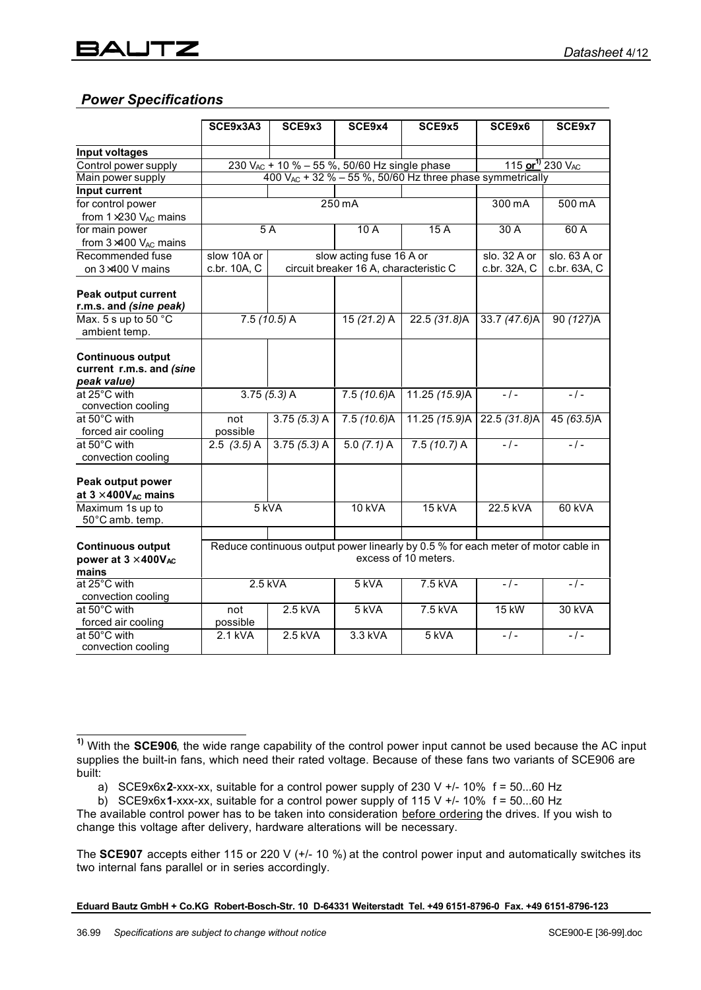# *Power Specifications*

|                                                                     | SCE9x3A3                                                                                                  | SCE9x3        | SCE9x4                                 | SCE9x5                                   | SCE9x6                                                         | SCE9x7           |
|---------------------------------------------------------------------|-----------------------------------------------------------------------------------------------------------|---------------|----------------------------------------|------------------------------------------|----------------------------------------------------------------|------------------|
|                                                                     |                                                                                                           |               |                                        |                                          |                                                                |                  |
| Input voltages                                                      |                                                                                                           |               |                                        |                                          |                                                                |                  |
| Control power supply                                                | 230 V <sub>AC</sub> + 10 % - 55 %, 50/60 Hz single phase                                                  |               |                                        | 115 or <sup>1)</sup> 230 V <sub>AC</sub> |                                                                |                  |
| Main power supply                                                   |                                                                                                           |               |                                        |                                          | 400 $V_{AC}$ + 32 % - 55 %, 50/60 Hz three phase symmetrically |                  |
| <b>Input current</b>                                                |                                                                                                           |               |                                        |                                          |                                                                |                  |
| for control power                                                   |                                                                                                           |               | $250 \,\mathrm{mA}$                    |                                          | 300 mA                                                         | $500 \text{ mA}$ |
| from $1\times230$ V <sub>AC</sub> mains                             |                                                                                                           |               |                                        |                                          |                                                                |                  |
| for main power                                                      | $5\overline{A}$                                                                                           |               | 10A                                    | 15A                                      | 30A                                                            | 60A              |
| from 3×400 VAC mains                                                |                                                                                                           |               |                                        |                                          |                                                                |                  |
| Recommended fuse                                                    | slow 10A or                                                                                               |               | slow acting fuse 16 A or               |                                          | slo. 32 A or                                                   | slo. 63 A or     |
| on 3×400 V mains                                                    | c.br. 10A, C                                                                                              |               | circuit breaker 16 A, characteristic C |                                          | c.br. 32A, C                                                   | c.br. 63A, C     |
| <b>Peak output current</b>                                          |                                                                                                           |               |                                        |                                          |                                                                |                  |
| r.m.s. and (sine peak)                                              |                                                                                                           |               |                                        |                                          |                                                                |                  |
| Max. 5 s up to 50 °C<br>ambient temp.                               |                                                                                                           | $7.5(10.5)$ A | $15(21.2)$ A                           | 22.5 (31.8)A                             | 33.7 (47.6)A                                                   | 90 (127)A        |
| <b>Continuous output</b><br>current r.m.s. and (sine<br>peak value) |                                                                                                           |               |                                        |                                          |                                                                |                  |
| at 25°C with                                                        |                                                                                                           | $3.75(5.3)$ A | 7.5(10.6)A                             | 11.25 (15.9)A                            | $-1-$                                                          | $-1-$            |
| convection cooling                                                  |                                                                                                           |               |                                        |                                          |                                                                |                  |
| at 50°C with                                                        | not                                                                                                       | $3.75(5.3)$ A | 7.5(10.6)A                             | 11.25 (15.9)A                            | 22.5(31.8)A                                                    | 45 (63.5)A       |
| forced air cooling                                                  | possible                                                                                                  |               |                                        |                                          |                                                                |                  |
| at 50°C with<br>convection cooling                                  | $2.5$ $(3.5)$ A                                                                                           | $3.75(5.3)$ A | $5.0(7.1)$ A                           | $7.5(10.7)$ A                            | $-1-$                                                          | $-1-$            |
| Peak output power<br>at 3 ' 400VAC mains                            |                                                                                                           |               |                                        |                                          |                                                                |                  |
| Maximum 1s up to<br>50°C amb. temp.                                 | 5 kVA                                                                                                     |               | <b>10 kVA</b>                          | 15 kVA                                   | 22.5 kVA                                                       | 60 kVA           |
| <b>Continuous output</b><br>power at 3 ' 400VAC<br>mains            | Reduce continuous output power linearly by 0.5 % for each meter of motor cable in<br>excess of 10 meters. |               |                                        |                                          |                                                                |                  |
| at 25°C with<br>convection cooling                                  | $2.5$ kVA                                                                                                 |               | 5 kVA                                  | 7.5 kVA                                  | $-1-$                                                          | $-1-$            |
| at 50°C with                                                        | not                                                                                                       | 2.5 kVA       | 5 kVA                                  | 7.5 kVA                                  | 15 kW                                                          | 30 kVA           |
| forced air cooling                                                  | possible                                                                                                  |               |                                        |                                          |                                                                |                  |
| at 50°C with<br>convection cooling                                  | 2.1 kVA                                                                                                   | 2.5 kVA       | 3.3 kVA                                | 5 kVA                                    | $-1-$                                                          | $-1-$            |

 $\overline{\phantom{a}}$ **1)** With the **SCE906**, the wide range capability of the control power input cannot be used because the AC input supplies the built-in fans, which need their rated voltage. Because of these fans two variants of SCE906 are built:

a) SCE9x6x**2**-xxx-xx, suitable for a control power supply of 230 V +/- 10% f = 50...60 Hz

b) SCE9x6x**1**-xxx-xx, suitable for a control power supply of 115 V +/- 10% f = 50...60 Hz

The available control power has to be taken into consideration before ordering the drives. If you wish to change this voltage after delivery, hardware alterations will be necessary.

The **SCE907** accepts either 115 or 220 V (+/- 10 %) at the control power input and automatically switches its two internal fans parallel or in series accordingly.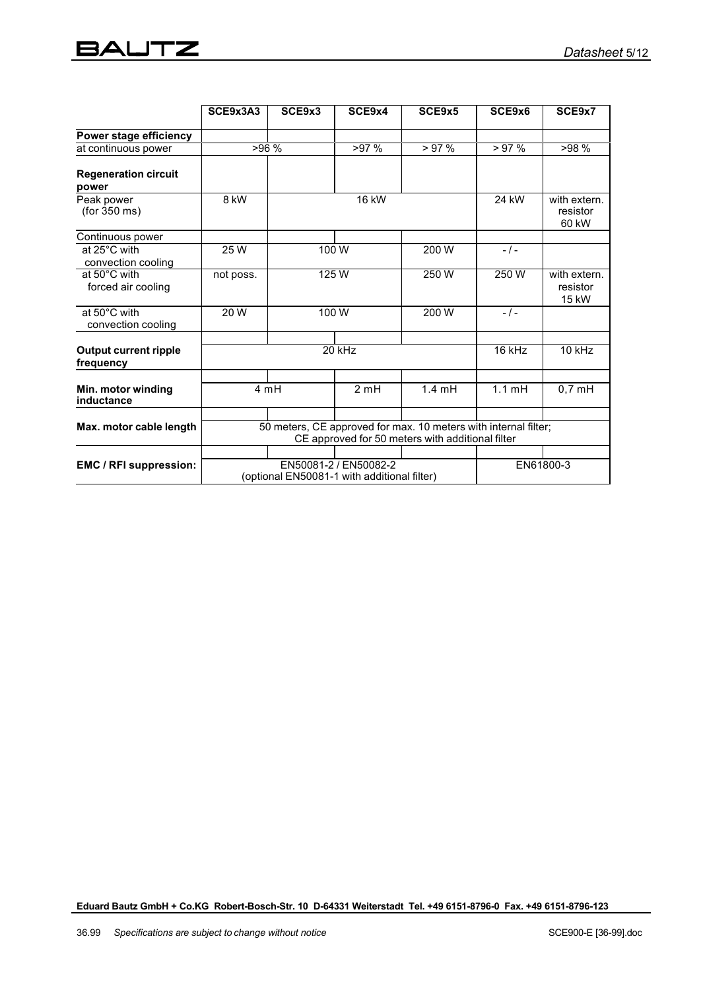# **BAUTZ**

|                                           | SCE9x3A3                                                                                                            | SCE9x3         | SCE9x4 | SCE9x5    | SCE9x6                            | SCE9x7                            |
|-------------------------------------------|---------------------------------------------------------------------------------------------------------------------|----------------|--------|-----------|-----------------------------------|-----------------------------------|
| Power stage efficiency                    |                                                                                                                     |                |        |           |                                   |                                   |
| at continuous power                       | >96%<br>>97%                                                                                                        |                | >97%   | >97%      | >98%                              |                                   |
| <b>Regeneration circuit</b><br>power      |                                                                                                                     |                |        |           |                                   |                                   |
| Peak power<br>(for 350 ms)                | 8 kW                                                                                                                | 16 kW          |        | 24 kW     | with extern.<br>resistor<br>60 kW |                                   |
| Continuous power                          |                                                                                                                     |                |        |           |                                   |                                   |
| at 25°C with<br>convection cooling        | 25 W                                                                                                                |                | 100 W  | 200 W     | $-1-$                             |                                   |
| at 50°C with<br>forced air cooling        | not poss.                                                                                                           | 125W           |        | 250W      | 250W                              | with extern.<br>resistor<br>15 kW |
| at 50°C with<br>convection cooling        | 20W                                                                                                                 | 100 W<br>200 W |        | $-1-$     |                                   |                                   |
| <b>Output current ripple</b><br>frequency | 20 kHz                                                                                                              |                |        | 16 kHz    | $10$ kHz                          |                                   |
| Min. motor winding<br>inductance          | 4 mH                                                                                                                |                | 2mH    | 1.4mH     | $1.1$ mH                          | $0,7$ mH                          |
| Max. motor cable length                   | 50 meters, CE approved for max. 10 meters with internal filter;<br>CE approved for 50 meters with additional filter |                |        |           |                                   |                                   |
| EMC / RFI suppression:                    | EN50081-2 / EN50082-2<br>(optional EN50081-1 with additional filter)                                                |                |        | EN61800-3 |                                   |                                   |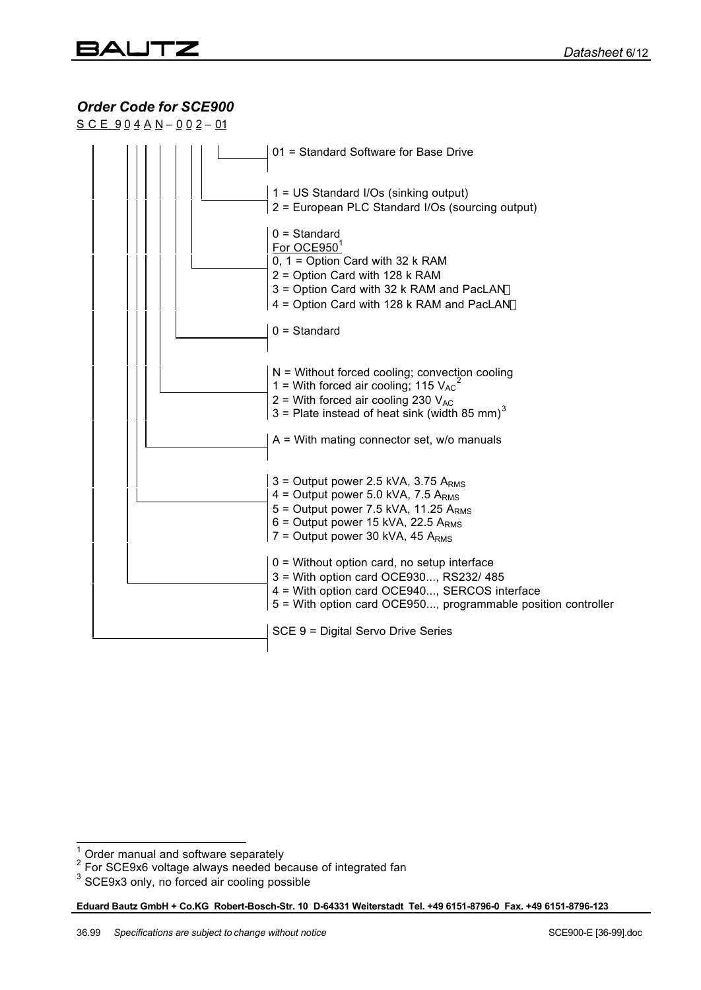# *Order Code for SCE900*

 $S C E 904 A N - 002 - 01$ 

|  | 01 = Standard Software for Base Drive                                                                                                                                                                    |
|--|----------------------------------------------------------------------------------------------------------------------------------------------------------------------------------------------------------|
|  | 1 = US Standard I/Os (sinking output)<br>2 = European PLC Standard I/Os (sourcing output)<br>$0 = Standard$                                                                                              |
|  | For OCE9501<br>0, $1 =$ Option Card with 32 k RAM<br>2 = Option Card with 128 k RAM<br>3 = Option Card with 32 k RAM and PacLAN™                                                                         |
|  | 4 = Option Card with 128 k RAM and PacLANTM<br>$0 = Standard$                                                                                                                                            |
|  | $N =$ Without forced cooling; convection cooling<br>1 = With forced air cooling; 115 $V_{AC}^2$<br>2 = With forced air cooling 230 $V_{AC}$<br>3 = Plate instead of heat sink (width 85 mm) <sup>3</sup> |
|  | $A =$ With mating connector set, w/o manuals                                                                                                                                                             |
|  | $3 =$ Output power 2.5 kVA, 3.75 ARMS<br>4 = Output power 5.0 kVA, 7.5 $ARMS$<br>5 = Output power 7.5 kVA, 11.25 $ARMS$<br>6 = Output power 15 kVA, 22.5 $ARMS$<br>$7 =$ Output power 30 kVA, 45 ARMS    |
|  | 0 = Without option card, no setup interface<br>3 = With option card OCE930, RS232/ 485<br>4 = With option card OCE940, SERCOS interface<br>5 = With option card OCE950, programmable position controller |
|  | SCE 9 = Digital Servo Drive Series                                                                                                                                                                       |
|  |                                                                                                                                                                                                          |

<sup>&</sup>lt;sup>1</sup> Order manual and software separately<br><sup>2</sup> For SCE9x6 voltage always needed because of integrated fan<br><sup>3</sup> SCE9x3 only, no forced air cooling possible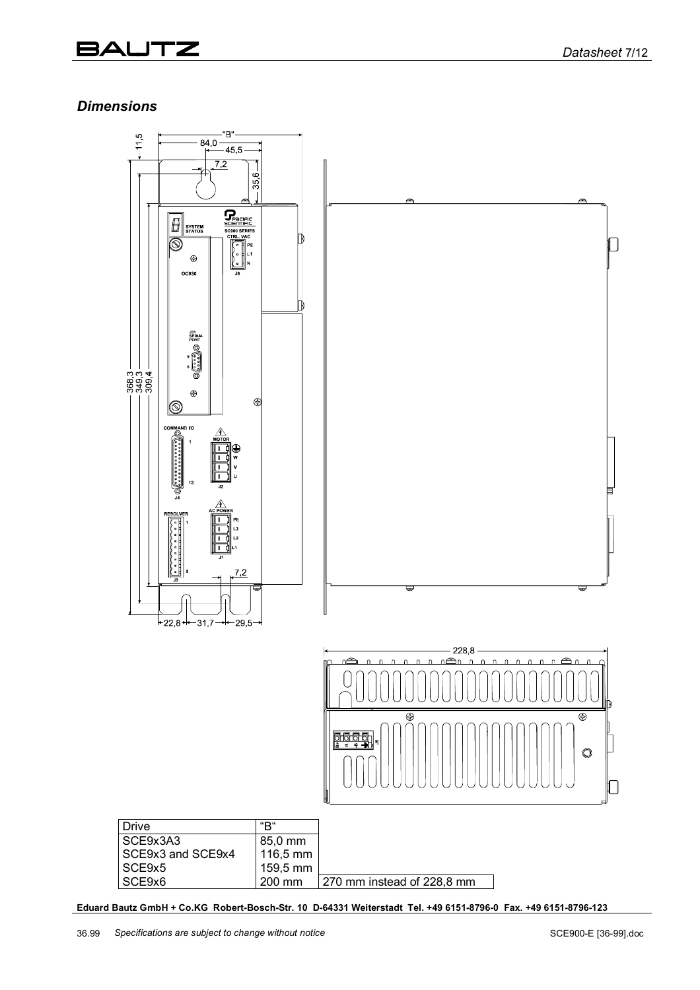# 3AUTZ

## *Dimensions*

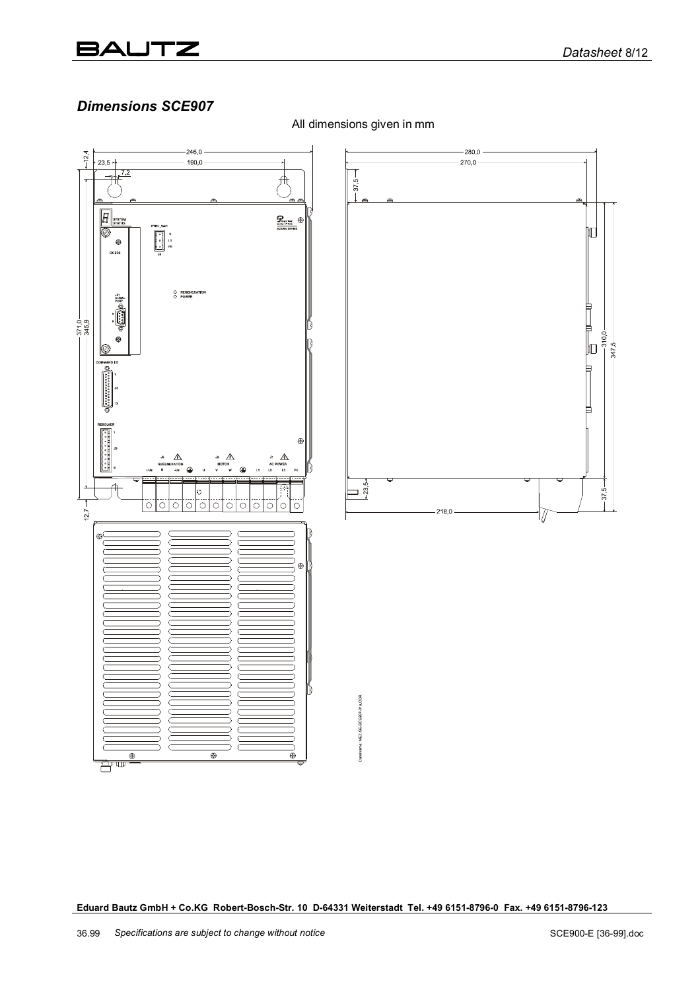#### JTZ 3AL

### *Dimensions SCE907*



All dimensions given in mm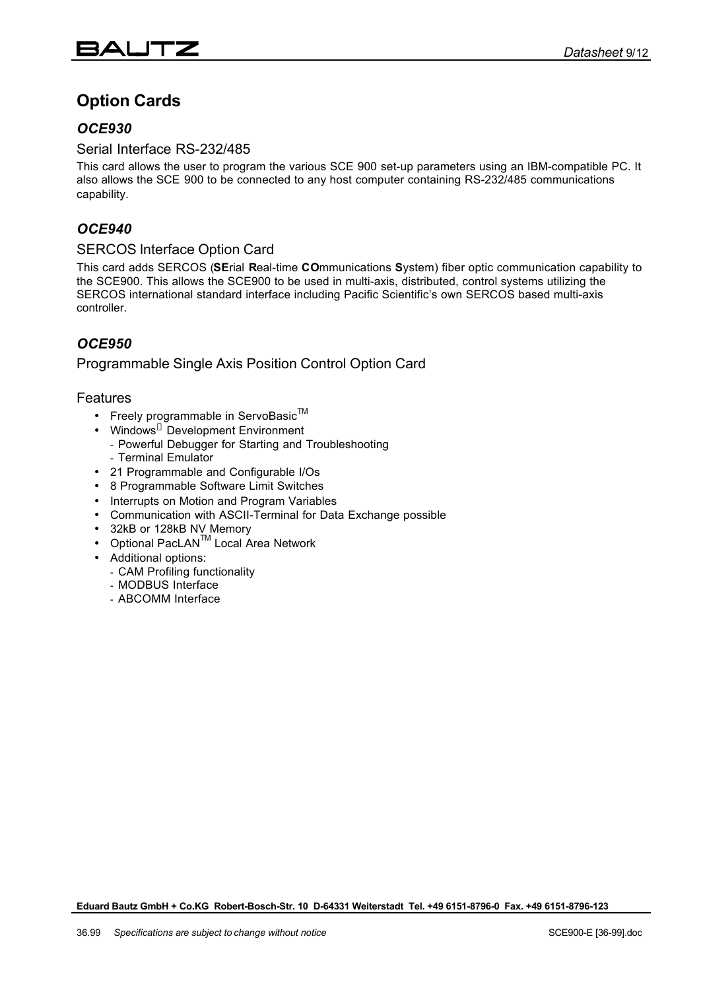# **Option Cards**

#### *OCE930*

#### Serial Interface RS-232/485

This card allows the user to program the various SCE 900 set-up parameters using an IBM-compatible PC. It also allows the SCE 900 to be connected to any host computer containing RS-232/485 communications capability.

#### *OCE940*

#### SERCOS lnterface Option Card

This card adds SERCOS (**SE**rial **R**eal-time **CO**mmunications **S**ystem) fiber optic communication capability to the SCE900. This allows the SCE900 to be used in multi-axis, distributed, control systems utilizing the SERCOS international standard interface including Pacific Scientific's own SERCOS based multi-axis controller.

# *OCE950*

#### Programmable Single Axis Position Control Option Card

#### Features

- Freely programmable in ServoBasic $TM$
- Windows<sup>®</sup> Development Environment
- Powerful Debugger for Starting and Troubleshooting - Terminal Emulator
- 21 Programmable and Configurable I/Os
- 8 Programmable Software Limit Switches
- Interrupts on Motion and Program Variables
- Communication with ASCII-Terminal for Data Exchange possible
- 32kB or 128kB NV Memory
- Optional PacLANTM Local Area Network
- Additional options:
	- CAM Profiling functionality
	- MODBUS Interface
	- ABCOMM Interface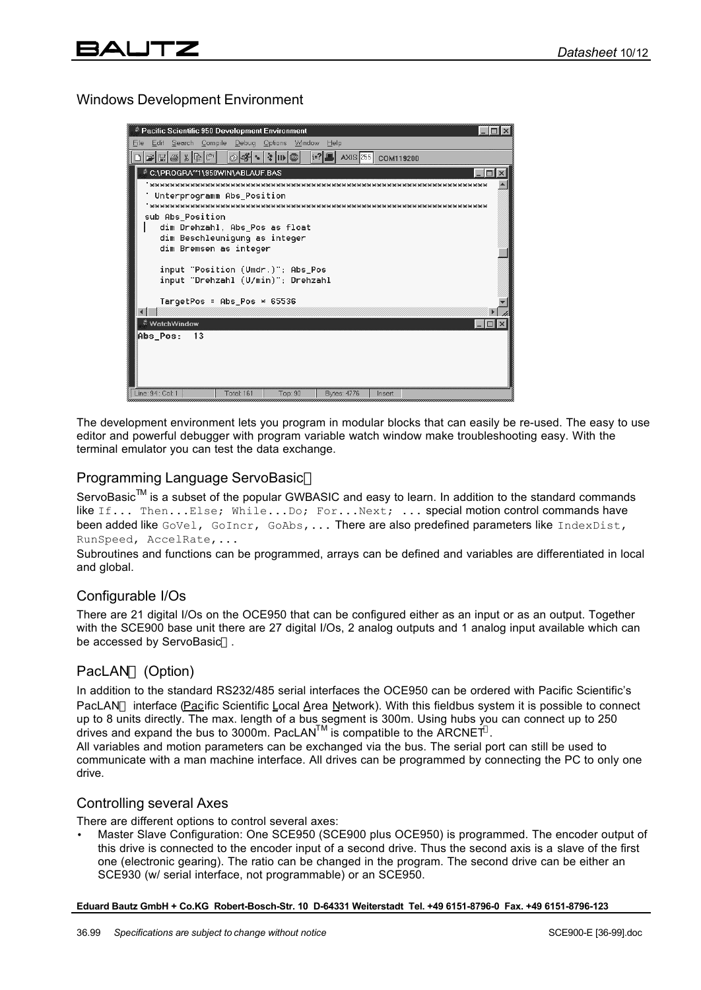#### Windows Development Environment

| <b><i>E</i></b> Pacific Scientific 950 Development Environment          |  |  |  |  |  |
|-------------------------------------------------------------------------|--|--|--|--|--|
| Edit Search Compile Debuq<br>File<br>Options Window<br>Help             |  |  |  |  |  |
| AXIS 255 COM119200                                                      |  |  |  |  |  |
| ै C:∖PROGRA‴1∖950WIN∖ABLAUF.BAS                                         |  |  |  |  |  |
|                                                                         |  |  |  |  |  |
| Unterprogramm Abs_Position                                              |  |  |  |  |  |
| sub Abs Position                                                        |  |  |  |  |  |
| dim Drehzahl, Abs Pos as float                                          |  |  |  |  |  |
| dim Beschleunigung as integer                                           |  |  |  |  |  |
| dim Bremsen as integer                                                  |  |  |  |  |  |
|                                                                         |  |  |  |  |  |
| input "Position (Umdr.)"; Abs_Pos<br>input "Drehzahl (U/min)"; Drehzahl |  |  |  |  |  |
|                                                                         |  |  |  |  |  |
| TargetPos = Abs_Pos * 65536                                             |  |  |  |  |  |
| $\left  \right $                                                        |  |  |  |  |  |
| ै WatchWindow<br>$-10$                                                  |  |  |  |  |  |
| Abs_Pos:<br>13                                                          |  |  |  |  |  |
|                                                                         |  |  |  |  |  |
|                                                                         |  |  |  |  |  |
|                                                                         |  |  |  |  |  |
| Line: 94 : Col: 1<br>Total: 161<br>Top: 90<br>Bytes: 4776<br>Insert     |  |  |  |  |  |

The development environment lets you program in modular blocks that can easily be re-used. The easy to use editor and powerful debugger with program variable watch window make troubleshooting easy. With the terminal emulator you can test the data exchange.

#### Programming Language ServoBasic<sup>™</sup>

ServoBasic<sup>™</sup> is a subset of the popular GWBASIC and easy to learn. In addition to the standard commands like If... Then...Else; While...Do; For...Next; ... special motion control commands have been added like GoVel, GoIncr, GoAbs,... There are also predefined parameters like IndexDist, RunSpeed, AccelRate,...

Subroutines and functions can be programmed, arrays can be defined and variables are differentiated in local and global.

#### Configurable I/Os

There are 21 digital I/Os on the OCE950 that can be configured either as an input or as an output. Together with the SCE900 base unit there are 27 digital I/Os, 2 analog outputs and 1 analog input available which can be accessed by ServoBasic<sup>™</sup>.

#### PacLAN<sup>™</sup> (Option)

In addition to the standard RS232/485 serial interfaces the OCE950 can be ordered with Pacific Scientific's PacLAN<sup>™</sup> interface (Pacific Scientific Local Area Network). With this fieldbus system it is possible to connect up to 8 units directly. The max. length of a bus segment is 300m. Using hubs you can connect up to 250 drives and expand the bus to 3000m. PacLAN<sup>TM</sup> is compatible to the ARCNET<sup>®</sup>.

All variables and motion parameters can be exchanged via the bus. The serial port can still be used to communicate with a man machine interface. All drives can be programmed by connecting the PC to only one drive.

#### Controlling several Axes

There are different options to control several axes:

• Master Slave Configuration: One SCE950 (SCE900 plus OCE950) is programmed. The encoder output of this drive is connected to the encoder input of a second drive. Thus the second axis is a slave of the first one (electronic gearing). The ratio can be changed in the program. The second drive can be either an SCE930 (w/ serial interface, not programmable) or an SCE950.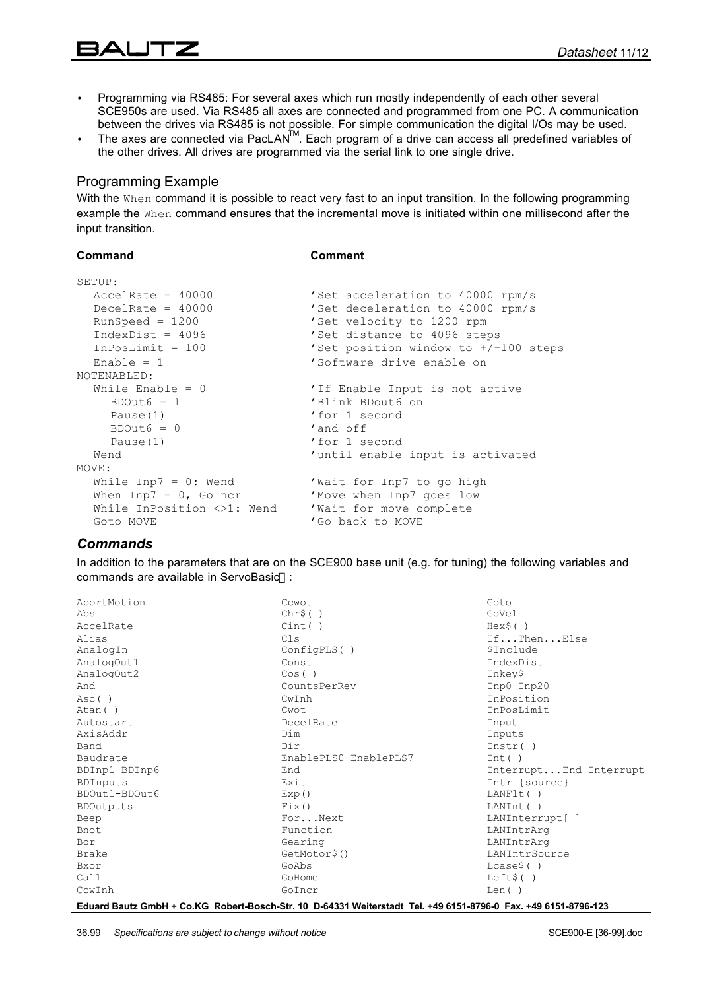# $\mathbb Z$

- Programming via RS485: For several axes which run mostly independently of each other several SCE950s are used. Via RS485 all axes are connected and programmed from one PC. A communication between the drives via RS485 is not possible. For simple communication the digital I/Os may be used.
- The axes are connected via PacLAN<sup>TM</sup>. Each program of a drive can access all predefined variables of the other drives. All drives are programmed via the serial link to one single drive.

#### Programming Example

With the When command it is possible to react very fast to an input transition. In the following programming example the When command ensures that the incremental move is initiated within one millisecond after the input transition.

#### **Command Comment**

| SETUP:                                             |                                        |
|----------------------------------------------------|----------------------------------------|
| $AccelRate = 40000$                                | 'Set acceleration to 40000 rpm/s       |
| DecelRate = $40000$                                | 'Set deceleration to 40000 rpm/s       |
| $RunSpeed = 1200$                                  | 'Set velocity to 1200 rpm              |
| $IndexDist = 4096$                                 | Set distance to 4096 steps             |
| InPosLimit = $100$                                 | 'Set position window to $+/-100$ steps |
| Enable = $1$                                       | 'Software drive enable on              |
| NOTENABLED:                                        |                                        |
| While Enable $= 0$                                 | 'If Enable Input is not active         |
| $BDOut6 = 1$                                       | 'Blink BDout6 on                       |
| Pause (1)                                          | 'for 1 second                          |
| $BDOut6 = 0$                                       | 'and off                               |
| Pause (1)                                          | 'for 1 second                          |
| Wend                                               | 'until enable input is activated       |
| MOVE:                                              |                                        |
| While $\texttt{Imp7} = 0$ : Wend                   | Wait for Inp7 to go high               |
| When $\text{Inp7} = 0$ , GoIncr                    | 'Move when Inp7 goes low               |
| While InPosition <>1: Wend Vwait for move complete |                                        |
| Goto MOVE                                          | 'Go back to MOVE                       |

#### *Commands*

In addition to the parameters that are on the SCE900 base unit (e.g. for tuning) the following variables and commands are available in ServoBasic<sup>™</sup>:

| AbortMotion      | Cowot.                                                                                                                | Goto                   |
|------------------|-----------------------------------------------------------------------------------------------------------------------|------------------------|
| Abs              | Chr\$()                                                                                                               | GoVel                  |
| AccelRate        | Cint( )                                                                                                               | Hex\$()                |
| Alias            | Cls                                                                                                                   | IfThenElse             |
| AnalogIn         | ConfigPLS()                                                                                                           | \$Include              |
| AnalogOut1       | Const.                                                                                                                | IndexDist              |
| AnalogOut2       | Cos( )                                                                                                                | Inkey\$                |
| And              | CountsPerRev                                                                                                          | $Inp0-Inp20$           |
| Asc()            | CwInh                                                                                                                 | InPosition             |
| Atan()           | Cwot                                                                                                                  | InPosLimit             |
| Autostart        | DecelRate                                                                                                             | Input                  |
| AxisAddr         | Dim                                                                                                                   | Inputs                 |
| Band             | Dir                                                                                                                   | Instr()                |
| Baudrate         | EnablePLS0-EnablePLS7                                                                                                 | Int()                  |
| BDInp1-BDInp6    | End                                                                                                                   | InterruptEnd Interrupt |
| <b>BDInputs</b>  | Exit                                                                                                                  | Intr {source}          |
| BDOut1-BDOut6    | Exp()                                                                                                                 | LANF1t()               |
| <b>BDOutputs</b> | Fix()                                                                                                                 | LANInt()               |
| Beep             | ForNext                                                                                                               | LANInterrupt[ ]        |
| Bnot             | Function                                                                                                              | LANIntrArq             |
| Bor              | Gearing                                                                                                               | LANIntrArq             |
| <b>Brake</b>     | GetMotor\$()                                                                                                          | LANIntrSource          |
| Bxor             | GoAbs                                                                                                                 | $Lcase$ \$()           |
| Call             | GoHome                                                                                                                | Left\$()               |
| CcwInh           | GoIncr                                                                                                                | Len()                  |
|                  | Educed Doute Crublet Co. KC. Dobort Dopob Ctr. 40, D.C4994 Waiterstadt, Tel. +40 C454 970C. 0, Eav. +40 C454 970C.499 |                        |